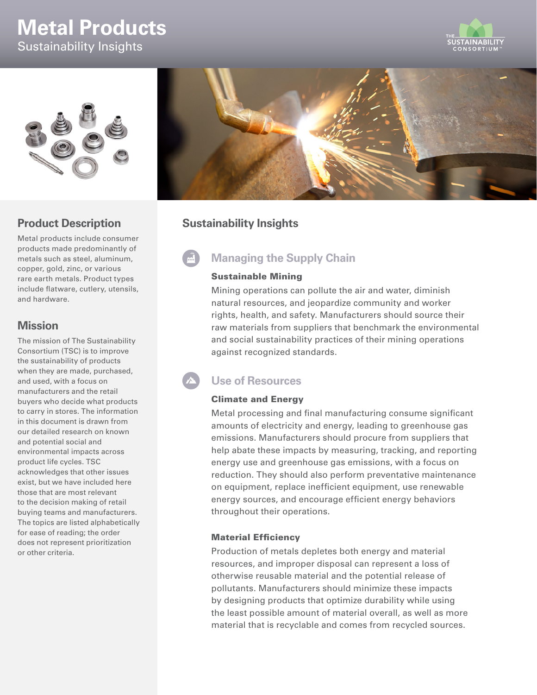# **Metal Products** Sustainability Insights





### **Product Description**

Metal products include consumer products made predominantly of metals such as steel, aluminum, copper, gold, zinc, or various rare earth metals. Product types include flatware, cutlery, utensils, and hardware.

### **Mission**

The mission of The Sustainability Consortium (TSC) is to improve the sustainability of products when they are made, purchased, and used, with a focus on manufacturers and the retail buyers who decide what products to carry in stores. The information in this document is drawn from our detailed research on known and potential social and environmental impacts across product life cycles. TSC acknowledges that other issues exist, but we have included here those that are most relevant to the decision making of retail buying teams and manufacturers. The topics are listed alphabetically for ease of reading; the order does not represent prioritization or other criteria.



### **Sustainability Insights**

## **Managing the Supply Chain**

#### Sustainable Mining

Mining operations can pollute the air and water, diminish natural resources, and jeopardize community and worker rights, health, and safety. Manufacturers should source their raw materials from suppliers that benchmark the environmental and social sustainability practices of their mining operations against recognized standards.

### **Use of Resources**

#### Climate and Energy

Metal processing and final manufacturing consume significant amounts of electricity and energy, leading to greenhouse gas emissions. Manufacturers should procure from suppliers that help abate these impacts by measuring, tracking, and reporting energy use and greenhouse gas emissions, with a focus on reduction. They should also perform preventative maintenance on equipment, replace inefficient equipment, use renewable energy sources, and encourage efficient energy behaviors throughout their operations.

#### Material Efficiency

Production of metals depletes both energy and material resources, and improper disposal can represent a loss of otherwise reusable material and the potential release of pollutants. Manufacturers should minimize these impacts by designing products that optimize durability while using the least possible amount of material overall, as well as more material that is recyclable and comes from recycled sources.